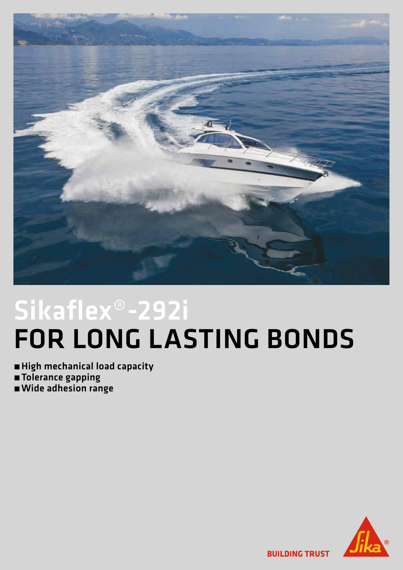

## Sikaflex<sup>®</sup>-292i **FOR LONG LASTING BONDS**

- High mechanical load capacity **Tolerance gapping**
- 
- **N** Wide adhesion range



**BUILDING TRUST**